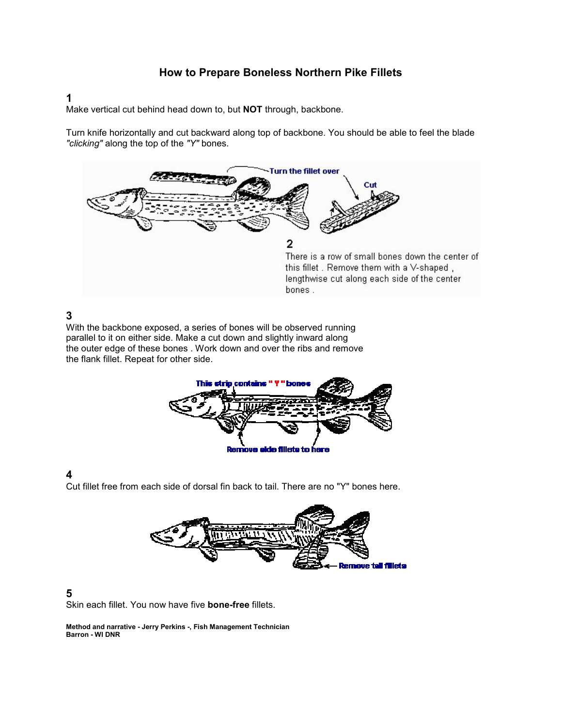## How to Prepare Boneless Northern Pike Fillets

#### 1

Make vertical cut behind head down to, but NOT through, backbone.

Turn knife horizontally and cut backward along top of backbone. You should be able to feel the blade "clicking" along the top of the "Y" bones.



## 3

With the backbone exposed, a series of bones will be observed running parallel to it on either side. Make a cut down and slightly inward along the outer edge of these bones . Work down and over the ribs and remove the flank fillet. Repeat for other side.



## 4

Cut fillet free from each side of dorsal fin back to tail. There are no "Y" bones here.



#### 5

Skin each fillet. You now have five bone-free fillets.

Method and narrative - Jerry Perkins -, Fish Management Technician Barron - WI DNR